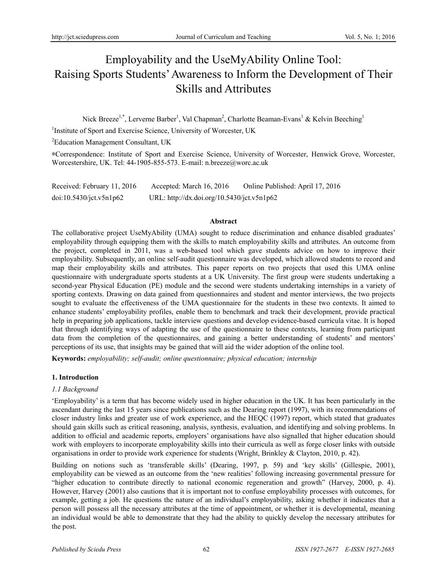# Employability and the UseMyAbility Online Tool: Raising Sports Students' Awareness to Inform the Development of Their Skills and Attributes

Nick Breeze<sup>1,\*</sup>, Lerverne Barber<sup>1</sup>, Val Chapman<sup>2</sup>, Charlotte Beaman-Evans<sup>1</sup> & Kelvin Beeching<sup>1</sup>

<sup>1</sup>Institute of Sport and Exercise Science, University of Worcester, UK

<sup>2</sup>Education Management Consultant, UK

\*Correspondence: Institute of Sport and Exercise Science, University of Worcester, Henwick Grove, Worcester, Worcestershire, UK. Tel: 44-1905-855-573. E-mail: n.breeze@worc.ac.uk

| Received: February 11, 2016 | Accepted: March 16, 2016                   | Online Published: April 17, 2016 |
|-----------------------------|--------------------------------------------|----------------------------------|
| doi:10.5430/jct.v5n1p62     | URL: http://dx.doi.org/10.5430/jct.v5n1p62 |                                  |

# **Abstract**

The collaborative project UseMyAbility (UMA) sought to reduce discrimination and enhance disabled graduates' employability through equipping them with the skills to match employability skills and attributes. An outcome from the project, completed in 2011, was a web-based tool which gave students advice on how to improve their employability. Subsequently, an online self-audit questionnaire was developed, which allowed students to record and map their employability skills and attributes. This paper reports on two projects that used this UMA online questionnaire with undergraduate sports students at a UK University. The first group were students undertaking a second-year Physical Education (PE) module and the second were students undertaking internships in a variety of sporting contexts. Drawing on data gained from questionnaires and student and mentor interviews, the two projects sought to evaluate the effectiveness of the UMA questionnaire for the students in these two contexts. It aimed to enhance students' employability profiles, enable them to benchmark and track their development, provide practical help in preparing job applications, tackle interview questions and develop evidence-based curricula vitae. It is hoped that through identifying ways of adapting the use of the questionnaire to these contexts, learning from participant data from the completion of the questionnaires, and gaining a better understanding of students' and mentors' perceptions of its use, that insights may be gained that will aid the wider adoption of the online tool.

**Keywords:** *employability; self-audit; online questionnaire; physical education; internship*

# **1. Introduction**

# *1.1 Background*

'Employability' is a term that has become widely used in higher education in the UK. It has been particularly in the ascendant during the last 15 years since publications such as the Dearing report (1997), with its recommendations of closer industry links and greater use of work experience, and the HEQC (1997) report, which stated that graduates should gain skills such as critical reasoning, analysis, synthesis, evaluation, and identifying and solving problems. In addition to official and academic reports, employers' organisations have also signalled that higher education should work with employers to incorporate employability skills into their curricula as well as forge closer links with outside organisations in order to provide work experience for students (Wright, Brinkley & Clayton, 2010, p. 42).

Building on notions such as 'transferable skills' (Dearing, 1997, p. 59) and 'key skills' (Gillespie, 2001), employability can be viewed as an outcome from the 'new realities' following increasing governmental pressure for "higher education to contribute directly to national economic regeneration and growth" (Harvey, 2000, p. 4). However, Harvey (2001) also cautions that it is important not to confuse employability processes with outcomes, for example, getting a job. He questions the nature of an individual's employability, asking whether it indicates that a person will possess all the necessary attributes at the time of appointment, or whether it is developmental, meaning an individual would be able to demonstrate that they had the ability to quickly develop the necessary attributes for the post.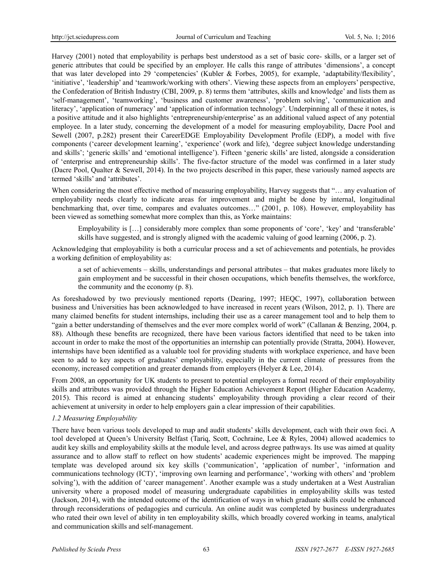Harvey (2001) noted that employability is perhaps best understood as a set of basic core- skills, or a larger set of generic attributes that could be specified by an employer. He calls this range of attributes 'dimensions', a concept that was later developed into 29 'competencies' (Kubler & Forbes, 2005), for example, 'adaptability/flexibility', 'initiative', 'leadership' and 'teamwork/working with others'. Viewing these aspects from an employers' perspective, the Confederation of British Industry (CBI, 2009, p. 8) terms them 'attributes, skills and knowledge' and lists them as 'self-management', 'teamworking', 'business and customer awareness', 'problem solving', 'communication and literacy', 'application of numeracy' and 'application of information technology'. Underpinning all of these it notes, is a positive attitude and it also highlights 'entrepreneurship/enterprise' as an additional valued aspect of any potential employee. In a later study, concerning the development of a model for measuring employability, Dacre Pool and Sewell (2007, p.282) present their CareerEDGE Employability Development Profile (EDP), a model with five components ('career development learning', 'experience' (work and life), 'degree subject knowledge understanding and skills'; 'generic skills' and 'emotional intelligence'). Fifteen 'generic skills' are listed, alongside a consideration of 'enterprise and entrepreneurship skills'. The five-factor structure of the model was confirmed in a later study (Dacre Pool, Qualter & Sewell, 2014). In the two projects described in this paper, these variously named aspects are termed 'skills' and 'attributes'.

When considering the most effective method of measuring employability, Harvey suggests that "... any evaluation of employability needs clearly to indicate areas for improvement and might be done by internal, longitudinal benchmarking that, over time, compares and evaluates outcomes…" (2001, p. 108). However, employability has been viewed as something somewhat more complex than this, as Yorke maintains:

Employability is […] considerably more complex than some proponents of 'core', 'key' and 'transferable' skills have suggested, and is strongly aligned with the academic valuing of good learning (2006, p. 2).

Acknowledging that employability is both a curricular process and a set of achievements and potentials, he provides a working definition of employability as:

a set of achievements – skills, understandings and personal attributes – that makes graduates more likely to gain employment and be successful in their chosen occupations, which benefits themselves, the workforce, the community and the economy (p. 8).

As foreshadowed by two previously mentioned reports (Dearing, 1997; HEQC, 1997), collaboration between business and Universities has been acknowledged to have increased in recent years (Wilson, 2012, p. 1). There are many claimed benefits for student internships, including their use as a career management tool and to help them to "gain a better understanding of themselves and the ever more complex world of work" (Callanan & Benzing, 2004, p. 88). Although these benefits are recognized, there have been various factors identified that need to be taken into account in order to make the most of the opportunities an internship can potentially provide (Stratta, 2004). However, internships have been identified as a valuable tool for providing students with workplace experience, and have been seen to add to key aspects of graduates' employability, especially in the current climate of pressures from the economy, increased competition and greater demands from employers (Helyer & Lee, 2014).

From 2008, an opportunity for UK students to present to potential employers a formal record of their employability skills and attributes was provided through the Higher Education Achievement Report (Higher Education Academy, 2015). This record is aimed at enhancing students' employability through providing a clear record of their achievement at university in order to help employers gain a clear impression of their capabilities.

# *1.2 Measuring Employability*

There have been various tools developed to map and audit students' skills development, each with their own foci. A tool developed at Queen's University Belfast (Tariq, Scott, Cochraine, Lee & Ryles, 2004) allowed academics to audit key skills and employability skills at the module level, and across degree pathways. Its use was aimed at quality assurance and to allow staff to reflect on how students' academic experiences might be improved. The mapping template was developed around six key skills ('communication', 'application of number', 'information and communications technology (ICT)', 'improving own learning and performance', 'working with others' and 'problem solving'), with the addition of 'career management'. Another example was a study undertaken at a West Australian university where a proposed model of measuring undergraduate capabilities in employability skills was tested (Jackson, 2014), with the intended outcome of the identification of ways in which graduate skills could be enhanced through reconsiderations of pedagogies and curricula. An online audit was completed by business undergraduates who rated their own level of ability in ten employability skills, which broadly covered working in teams, analytical and communication skills and self-management.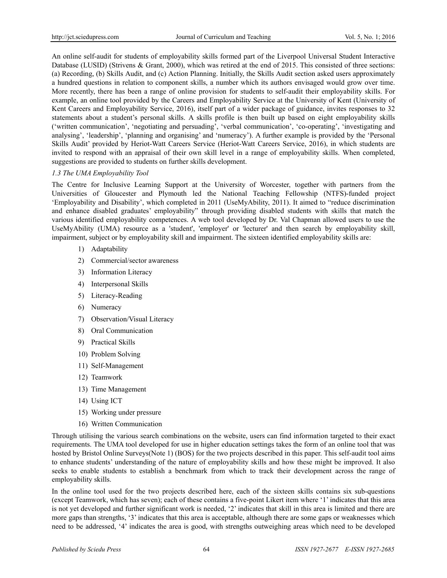An online self-audit for students of employability skills formed part of the Liverpool Universal Student Interactive Database (LUSID) (Strivens & Grant, 2000), which was retired at the end of 2015. This consisted of three sections: (a) Recording, (b) Skills Audit, and (c) Action Planning. Initially, the Skills Audit section asked users approximately a hundred questions in relation to component skills, a number which its authors envisaged would grow over time. More recently, there has been a range of online provision for students to self-audit their employability skills. For example, an online tool provided by the Careers and Employability Service at the University of Kent (University of Kent Careers and Employability Service, 2016), itself part of a wider package of guidance, invites responses to 32 statements about a student's personal skills. A skills profile is then built up based on eight employability skills ('written communication', 'negotiating and persuading', 'verbal communication', 'co-operating', 'investigating and analysing', 'leadership', 'planning and organising' and 'numeracy'). A further example is provided by the 'Personal Skills Audit' provided by Heriot-Watt Careers Service (Heriot-Watt Careers Service, 2016), in which students are invited to respond with an appraisal of their own skill level in a range of employability skills. When completed, suggestions are provided to students on further skills development.

# *1.3 The UMA Employability Tool*

The Centre for Inclusive Learning Support at the University of Worcester, together with partners from the Universities of Gloucester and Plymouth led the National Teaching Fellowship (NTFS)-funded project 'Employability and Disability', which completed in 2011 (UseMyAbility, 2011). It aimed to "reduce discrimination and enhance disabled graduates' employability" through providing disabled students with skills that match the various identified employability competences. A web tool developed by Dr. Val Chapman allowed users to use the UseMyAbility (UMA) resource as a 'student', 'employer' or 'lecturer' and then search by employability skill, impairment, subject or by employability skill and impairment. The sixteen identified employability skills are:

- 1) Adaptability
- 2) Commercial/sector awareness
- 3) Information Literacy
- 4) Interpersonal Skills
- 5) Literacy-Reading
- 6) Numeracy
- 7) Observation/Visual Literacy
- 8) Oral Communication
- 9) Practical Skills
- 10) Problem Solving
- 11) Self-Management
- 12) Teamwork
- 13) Time Management
- 14) Using ICT
- 15) Working under pressure
- 16) Written Communication

Through utilising the various search combinations on the website, users can find information targeted to their exact requirements. The UMA tool developed for use in higher education settings takes the form of an online tool that was hosted by Bristol Online Surveys(Note 1) (BOS) for the two projects described in this paper. This self-audit tool aims to enhance students' understanding of the nature of employability skills and how these might be improved. It also seeks to enable students to establish a benchmark from which to track their development across the range of employability skills.

In the online tool used for the two projects described here, each of the sixteen skills contains six sub-questions (except Teamwork, which has seven); each of these contains a five-point Likert item where '1' indicates that this area is not yet developed and further significant work is needed, '2' indicates that skill in this area is limited and there are more gaps than strengths, '3' indicates that this area is acceptable, although there are some gaps or weaknesses which need to be addressed, '4' indicates the area is good, with strengths outweighing areas which need to be developed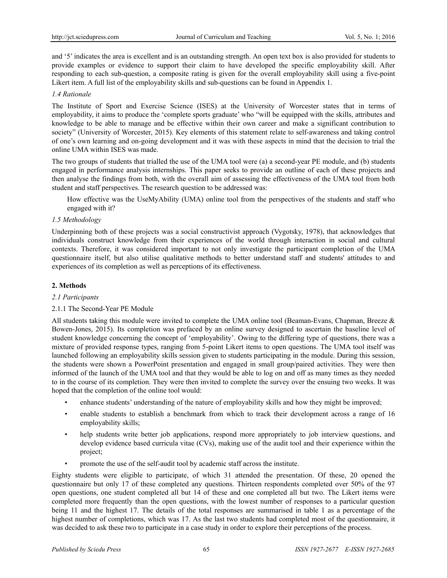and '5' indicates the area is excellent and is an outstanding strength. An open text box is also provided for students to provide examples or evidence to support their claim to have developed the specific employability skill. After responding to each sub-question, a composite rating is given for the overall employability skill using a five-point Likert item. A full list of the employability skills and sub-questions can be found in Appendix 1.

## *1.4 Rationale*

The Institute of Sport and Exercise Science (ISES) at the University of Worcester states that in terms of employability, it aims to produce the 'complete sports graduate' who "will be equipped with the skills, attributes and knowledge to be able to manage and be effective within their own career and make a significant contribution to society" (University of Worcester, 2015). Key elements of this statement relate to self-awareness and taking control of one's own learning and on-going development and it was with these aspects in mind that the decision to trial the online UMA within ISES was made.

The two groups of students that trialled the use of the UMA tool were (a) a second-year PE module, and (b) students engaged in performance analysis internships. This paper seeks to provide an outline of each of these projects and then analyse the findings from both, with the overall aim of assessing the effectiveness of the UMA tool from both student and staff perspectives. The research question to be addressed was:

How effective was the UseMyAbility (UMA) online tool from the perspectives of the students and staff who engaged with it?

## *1.5 Methodology*

Underpinning both of these projects was a social constructivist approach (Vygotsky, 1978), that acknowledges that individuals construct knowledge from their experiences of the world through interaction in social and cultural contexts. Therefore, it was considered important to not only investigate the participant completion of the UMA questionnaire itself, but also utilise qualitative methods to better understand staff and students' attitudes to and experiences of its completion as well as perceptions of its effectiveness.

# **2. Methods**

# *2.1 Participants*

# 2.1.1 The Second-Year PE Module

All students taking this module were invited to complete the UMA online tool (Beaman-Evans, Chapman, Breeze & Bowen-Jones, 2015). Its completion was prefaced by an online survey designed to ascertain the baseline level of student knowledge concerning the concept of 'employability'. Owing to the differing type of questions, there was a mixture of provided response types, ranging from 5-point Likert items to open questions. The UMA tool itself was launched following an employability skills session given to students participating in the module. During this session, the students were shown a PowerPoint presentation and engaged in small group/paired activities. They were then informed of the launch of the UMA tool and that they would be able to log on and off as many times as they needed to in the course of its completion. They were then invited to complete the survey over the ensuing two weeks. It was hoped that the completion of the online tool would:

- enhance students' understanding of the nature of employability skills and how they might be improved;
- enable students to establish a benchmark from which to track their development across a range of 16 employability skills;
- help students write better job applications, respond more appropriately to job interview questions, and develop evidence based curricula vitae (CVs), making use of the audit tool and their experience within the project;
- promote the use of the self-audit tool by academic staff across the institute.

Eighty students were eligible to participate, of which 31 attended the presentation. Of these, 20 opened the questionnaire but only 17 of these completed any questions. Thirteen respondents completed over 50% of the 97 open questions, one student completed all but 14 of these and one completed all but two. The Likert items were completed more frequently than the open questions, with the lowest number of responses to a particular question being 11 and the highest 17. The details of the total responses are summarised in table 1 as a percentage of the highest number of completions, which was 17. As the last two students had completed most of the questionnaire, it was decided to ask these two to participate in a case study in order to explore their perceptions of the process.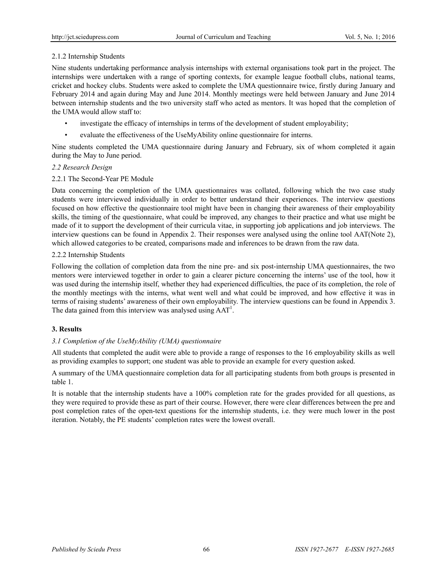# 2.1.2 Internship Students

Nine students undertaking performance analysis internships with external organisations took part in the project. The internships were undertaken with a range of sporting contexts, for example league football clubs, national teams, cricket and hockey clubs. Students were asked to complete the UMA questionnaire twice, firstly during January and February 2014 and again during May and June 2014. Monthly meetings were held between January and June 2014 between internship students and the two university staff who acted as mentors. It was hoped that the completion of the UMA would allow staff to:

- investigate the efficacy of internships in terms of the development of student employability;
- evaluate the effectiveness of the UseMyAbility online questionnaire for interns.

Nine students completed the UMA questionnaire during January and February, six of whom completed it again during the May to June period.

# *2.2 Research Design*

# 2.2.1 The Second-Year PE Module

Data concerning the completion of the UMA questionnaires was collated, following which the two case study students were interviewed individually in order to better understand their experiences. The interview questions focused on how effective the questionnaire tool might have been in changing their awareness of their employability skills, the timing of the questionnaire, what could be improved, any changes to their practice and what use might be made of it to support the development of their curricula vitae, in supporting job applications and job interviews. The interview questions can be found in Appendix 2. Their responses were analysed using the online tool AAT(Note 2), which allowed categories to be created, comparisons made and inferences to be drawn from the raw data.

# 2.2.2 Internship Students

Following the collation of completion data from the nine pre- and six post-internship UMA questionnaires, the two mentors were interviewed together in order to gain a clearer picture concerning the interns' use of the tool, how it was used during the internship itself, whether they had experienced difficulties, the pace of its completion, the role of the monthly meetings with the interns, what went well and what could be improved, and how effective it was in terms of raising students' awareness of their own employability. The interview questions can be found in Appendix 3. The data gained from this interview was analysed using  $AAT<sup>1</sup>$ .

# **3. Results**

# *3.1 Completion of the UseMyAbility (UMA) questionnaire*

All students that completed the audit were able to provide a range of responses to the 16 employability skills as well as providing examples to support; one student was able to provide an example for every question asked.

A summary of the UMA questionnaire completion data for all participating students from both groups is presented in table 1.

It is notable that the internship students have a 100% completion rate for the grades provided for all questions, as they were required to provide these as part of their course. However, there were clear differences between the pre and post completion rates of the open-text questions for the internship students, i.e. they were much lower in the post iteration. Notably, the PE students' completion rates were the lowest overall.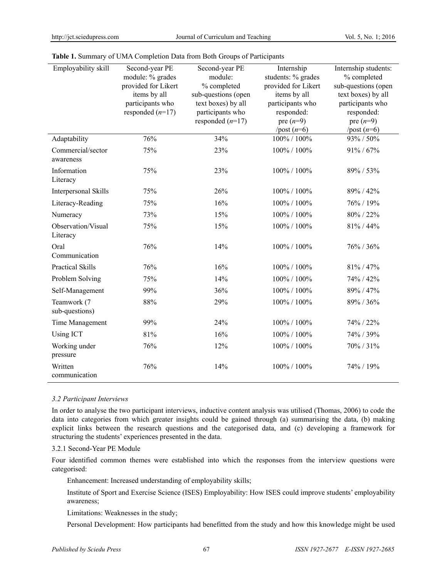| Employability skill            | Second-year PE<br>module: % grades<br>provided for Likert<br>items by all<br>participants who | Second-year PE<br>module:<br>% completed<br>sub-questions (open<br>text boxes) by all | Internship<br>students: % grades<br>provided for Likert<br>items by all<br>participants who | Internship students:<br>% completed<br>sub-questions (open<br>text boxes) by all<br>participants who |
|--------------------------------|-----------------------------------------------------------------------------------------------|---------------------------------------------------------------------------------------|---------------------------------------------------------------------------------------------|------------------------------------------------------------------------------------------------------|
|                                | responded $(n=17)$                                                                            | participants who<br>responded $(n=17)$                                                | responded:<br>pre $(n=9)$                                                                   | responded:<br>pre $(n=9)$                                                                            |
|                                |                                                                                               |                                                                                       | /post $(n=6)$                                                                               | /post $(n=6)$                                                                                        |
| Adaptability                   | 76%                                                                                           | 34%                                                                                   | 100% / 100%                                                                                 | 93% / 50%                                                                                            |
| Commercial/sector<br>awareness | 75%                                                                                           | 23%                                                                                   | 100% / 100%                                                                                 | 91% / 67%                                                                                            |
| Information<br>Literacy        | 75%                                                                                           | 23%                                                                                   | 100% / 100%                                                                                 | 89% / 53%                                                                                            |
| Interpersonal Skills           | 75%                                                                                           | 26%                                                                                   | 100% / 100%                                                                                 | $89\% / 42\%$                                                                                        |
| Literacy-Reading               | 75%                                                                                           | 16%                                                                                   | 100% / 100%                                                                                 | 76% / 19%                                                                                            |
| Numeracy                       | 73%                                                                                           | 15%                                                                                   | 100% / 100%                                                                                 | 80% / 22%                                                                                            |
| Observation/Visual<br>Literacy | 75%                                                                                           | 15%                                                                                   | 100% / 100%                                                                                 | $81\% / 44\%$                                                                                        |
| Oral<br>Communication          | 76%                                                                                           | 14%                                                                                   | 100% / 100%                                                                                 | 76% / 36%                                                                                            |
| <b>Practical Skills</b>        | 76%                                                                                           | 16%                                                                                   | 100% / 100%                                                                                 | 81% / 47%                                                                                            |
| Problem Solving                | 75%                                                                                           | 14%                                                                                   | 100% / 100%                                                                                 | 74% / 42%                                                                                            |
| Self-Management                | 99%                                                                                           | 36%                                                                                   | 100% / 100%                                                                                 | 89% / 47%                                                                                            |
| Teamwork (7<br>sub-questions)  | 88%                                                                                           | 29%                                                                                   | 100% / 100%                                                                                 | 89% / 36%                                                                                            |
| Time Management                | 99%                                                                                           | 24%                                                                                   | 100% / 100%                                                                                 | 74% / 22%                                                                                            |
| Using ICT                      | 81%                                                                                           | 16%                                                                                   | 100% / 100%                                                                                 | 74% / 39%                                                                                            |
| Working under<br>pressure      | 76%                                                                                           | 12%                                                                                   | 100% / 100%                                                                                 | 70% / 31%                                                                                            |
| Written<br>communication       | 76%                                                                                           | 14%                                                                                   | 100% / 100%                                                                                 | 74% / 19%                                                                                            |

|  |  |  |  | Table 1. Summary of UMA Completion Data from Both Groups of Participants |
|--|--|--|--|--------------------------------------------------------------------------|
|--|--|--|--|--------------------------------------------------------------------------|

# *3.2 Participant Interviews*

In order to analyse the two participant interviews, inductive content analysis was utilised (Thomas, 2006) to code the data into categories from which greater insights could be gained through (a) summarising the data, (b) making explicit links between the research questions and the categorised data, and (c) developing a framework for structuring the students' experiences presented in the data.

#### 3.2.1 Second-Year PE Module

Four identified common themes were established into which the responses from the interview questions were categorised:

Enhancement: Increased understanding of employability skills;

Institute of Sport and Exercise Science (ISES) Employability: How ISES could improve students' employability awareness;

Limitations: Weaknesses in the study;

Personal Development: How participants had benefitted from the study and how this knowledge might be used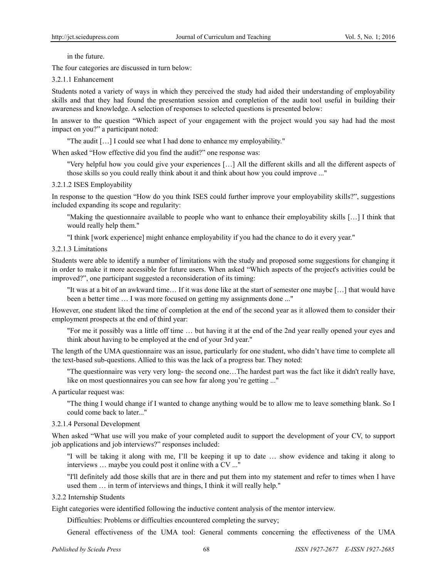in the future.

The four categories are discussed in turn below:

## 3.2.1.1 Enhancement

Students noted a variety of ways in which they perceived the study had aided their understanding of employability skills and that they had found the presentation session and completion of the audit tool useful in building their awareness and knowledge. A selection of responses to selected questions is presented below:

In answer to the question "Which aspect of your engagement with the project would you say had had the most impact on you?" a participant noted:

"The audit […] I could see what I had done to enhance my employability."

When asked "How effective did you find the audit?" one response was:

"Very helpful how you could give your experiences […] All the different skills and all the different aspects of those skills so you could really think about it and think about how you could improve ..."

## 3.2.1.2 ISES Employability

In response to the question "How do you think ISES could further improve your employability skills?", suggestions included expanding its scope and regularity:

"Making the questionnaire available to people who want to enhance their employability skills […] I think that would really help them."

"I think [work experience] might enhance employability if you had the chance to do it every year."

## 3.2.1.3 Limitations

Students were able to identify a number of limitations with the study and proposed some suggestions for changing it in order to make it more accessible for future users. When asked "Which aspects of the project's activities could be improved?", one participant suggested a reconsideration of its timing:

"It was at a bit of an awkward time… If it was done like at the start of semester one maybe […] that would have been a better time … I was more focused on getting my assignments done ..."

However, one student liked the time of completion at the end of the second year as it allowed them to consider their employment prospects at the end of third year:

"For me it possibly was a little off time … but having it at the end of the 2nd year really opened your eyes and think about having to be employed at the end of your 3rd year."

The length of the UMA questionnaire was an issue, particularly for one student, who didn't have time to complete all the text-based sub-questions. Allied to this was the lack of a progress bar. They noted:

"The questionnaire was very very long- the second one…The hardest part was the fact like it didn't really have, like on most questionnaires you can see how far along you're getting ..."

A particular request was:

"The thing I would change if I wanted to change anything would be to allow me to leave something blank. So I could come back to later..."

#### 3.2.1.4 Personal Development

When asked "What use will you make of your completed audit to support the development of your CV, to support job applications and job interviews?" responses included:

"I will be taking it along with me, I'll be keeping it up to date … show evidence and taking it along to interviews … maybe you could post it online with a CV ..."

"I'll definitely add those skills that are in there and put them into my statement and refer to times when I have used them … in term of interviews and things, I think it will really help."

#### 3.2.2 Internship Students

Eight categories were identified following the inductive content analysis of the mentor interview.

Difficulties: Problems or difficulties encountered completing the survey;

General effectiveness of the UMA tool: General comments concerning the effectiveness of the UMA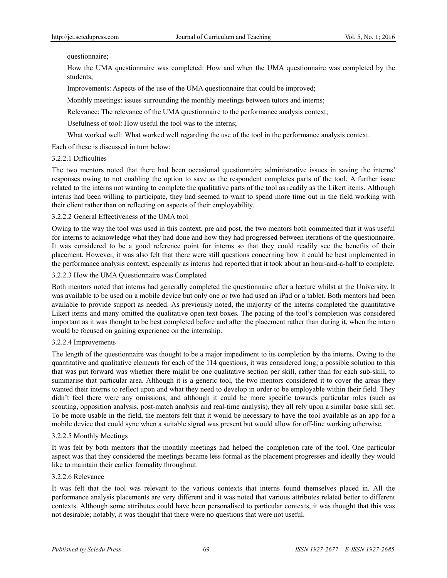# questionnaire;

How the UMA questionnaire was completed: How and when the UMA questionnaire was completed by the students;

Improvements: Aspects of the use of the UMA questionnaire that could be improved;

Monthly meetings: issues surrounding the monthly meetings between tutors and interns;

Relevance: The relevance of the UMA questionnaire to the performance analysis context;

Usefulness of tool: How useful the tool was to the interns;

What worked well: What worked well regarding the use of the tool in the performance analysis context.

Each of these is discussed in turn below:

# 3.2.2.1 Difficulties

The two mentors noted that there had been occasional questionnaire administrative issues in saving the interns' responses owing to not enabling the option to save as the respondent completes parts of the tool. A further issue related to the interns not wanting to complete the qualitative parts of the tool as readily as the Likert items. Although interns had been willing to participate, they had seemed to want to spend more time out in the field working with their client rather than on reflecting on aspects of their employability.

# 3.2.2.2 General Effectiveness of the UMA tool

Owing to the way the tool was used in this context, pre and post, the two mentors both commented that it was useful for interns to acknowledge what they had done and how they had progressed between iterations of the questionnaire. It was considered to be a good reference point for interns so that they could readily see the benefits of their placement. However, it was also felt that there were still questions concerning how it could be best implemented in the performance analysis context, especially as interns had reported that it took about an hour-and-a-half to complete.

# 3.2.2.3 How the UMA Questionnaire was Completed

Both mentors noted that interns had generally completed the questionnaire after a lecture whilst at the University. It was available to be used on a mobile device but only one or two had used an iPad or a tablet. Both mentors had been available to provide support as needed. As previously noted, the majority of the interns completed the quantitative Likert items and many omitted the qualitative open text boxes. The pacing of the tool's completion was considered important as it was thought to be best completed before and after the placement rather than during it, when the intern would be focused on gaining experience on the internship.

# 3.2.2.4 Improvements

The length of the questionnaire was thought to be a major impediment to its completion by the interns. Owing to the quantitative and qualitative elements for each of the 114 questions, it was considered long; a possible solution to this that was put forward was whether there might be one qualitative section per skill, rather than for each sub-skill, to summarise that particular area. Although it is a generic tool, the two mentors considered it to cover the areas they wanted their interns to reflect upon and what they need to develop in order to be employable within their field. They didn't feel there were any omissions, and although it could be more specific towards particular roles (such as scouting, opposition analysis, post-match analysis and real-time analysis), they all rely upon a similar basic skill set. To be more usable in the field, the mentors felt that it would be necessary to have the tool available as an app for a mobile device that could sync when a suitable signal was present but would allow for off-line working otherwise.

# 3.2.2.5 Monthly Meetings

It was felt by both mentors that the monthly meetings had helped the completion rate of the tool. One particular aspect was that they considered the meetings became less formal as the placement progresses and ideally they would like to maintain their earlier formality throughout.

# 3.2.2.6 Relevance

It was felt that the tool was relevant to the various contexts that interns found themselves placed in. All the performance analysis placements are very different and it was noted that various attributes related better to different contexts. Although some attributes could have been personalised to particular contexts, it was thought that this was not desirable; notably, it was thought that there were no questions that were not useful.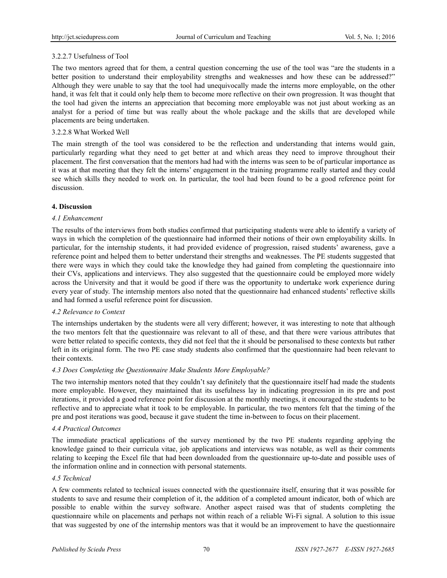# 3.2.2.7 Usefulness of Tool

The two mentors agreed that for them, a central question concerning the use of the tool was "are the students in a better position to understand their employability strengths and weaknesses and how these can be addressed?" Although they were unable to say that the tool had unequivocally made the interns more employable, on the other hand, it was felt that it could only help them to become more reflective on their own progression. It was thought that the tool had given the interns an appreciation that becoming more employable was not just about working as an analyst for a period of time but was really about the whole package and the skills that are developed while placements are being undertaken.

# 3.2.2.8 What Worked Well

The main strength of the tool was considered to be the reflection and understanding that interns would gain, particularly regarding what they need to get better at and which areas they need to improve throughout their placement. The first conversation that the mentors had had with the interns was seen to be of particular importance as it was at that meeting that they felt the interns' engagement in the training programme really started and they could see which skills they needed to work on. In particular, the tool had been found to be a good reference point for discussion.

# **4. Discussion**

# *4.1 Enhancement*

The results of the interviews from both studies confirmed that participating students were able to identify a variety of ways in which the completion of the questionnaire had informed their notions of their own employability skills. In particular, for the internship students, it had provided evidence of progression, raised students' awareness, gave a reference point and helped them to better understand their strengths and weaknesses. The PE students suggested that there were ways in which they could take the knowledge they had gained from completing the questionnaire into their CVs, applications and interviews. They also suggested that the questionnaire could be employed more widely across the University and that it would be good if there was the opportunity to undertake work experience during every year of study. The internship mentors also noted that the questionnaire had enhanced students' reflective skills and had formed a useful reference point for discussion.

# *4.2 Relevance to Context*

The internships undertaken by the students were all very different; however, it was interesting to note that although the two mentors felt that the questionnaire was relevant to all of these, and that there were various attributes that were better related to specific contexts, they did not feel that the it should be personalised to these contexts but rather left in its original form. The two PE case study students also confirmed that the questionnaire had been relevant to their contexts.

# *4.3 Does Completing the Questionnaire Make Students More Employable?*

The two internship mentors noted that they couldn't say definitely that the questionnaire itself had made the students more employable. However, they maintained that its usefulness lay in indicating progression in its pre and post iterations, it provided a good reference point for discussion at the monthly meetings, it encouraged the students to be reflective and to appreciate what it took to be employable. In particular, the two mentors felt that the timing of the pre and post iterations was good, because it gave student the time in-between to focus on their placement.

# *4.4 Practical Outcomes*

The immediate practical applications of the survey mentioned by the two PE students regarding applying the knowledge gained to their curricula vitae, job applications and interviews was notable, as well as their comments relating to keeping the Excel file that had been downloaded from the questionnaire up-to-date and possible uses of the information online and in connection with personal statements.

# *4.5 Technical*

A few comments related to technical issues connected with the questionnaire itself, ensuring that it was possible for students to save and resume their completion of it, the addition of a completed amount indicator, both of which are possible to enable within the survey software. Another aspect raised was that of students completing the questionnaire while on placements and perhaps not within reach of a reliable Wi-Fi signal. A solution to this issue that was suggested by one of the internship mentors was that it would be an improvement to have the questionnaire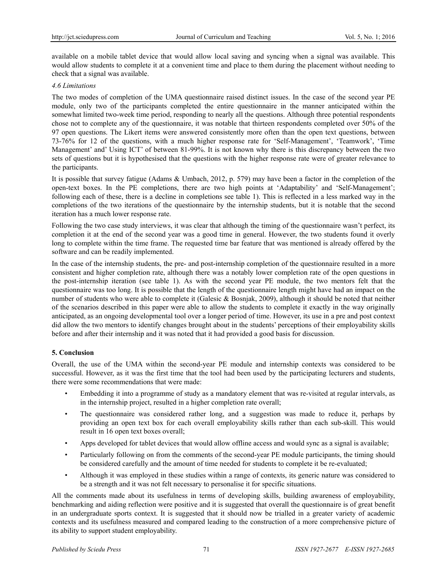available on a mobile tablet device that would allow local saving and syncing when a signal was available. This would allow students to complete it at a convenient time and place to them during the placement without needing to check that a signal was available.

## *4.6 Limitations*

The two modes of completion of the UMA questionnaire raised distinct issues. In the case of the second year PE module, only two of the participants completed the entire questionnaire in the manner anticipated within the somewhat limited two-week time period, responding to nearly all the questions. Although three potential respondents chose not to complete any of the questionnaire, it was notable that thirteen respondents completed over 50% of the 97 open questions. The Likert items were answered consistently more often than the open text questions, between 73-76% for 12 of the questions, with a much higher response rate for 'Self-Management', 'Teamwork', 'Time Management' and' Using ICT' of between 81-99%. It is not known why there is this discrepancy between the two sets of questions but it is hypothesised that the questions with the higher response rate were of greater relevance to the participants.

It is possible that survey fatigue (Adams & Umbach, 2012, p. 579) may have been a factor in the completion of the open-text boxes. In the PE completions, there are two high points at 'Adaptability' and 'Self-Management'; following each of these, there is a decline in completions see table 1). This is reflected in a less marked way in the completions of the two iterations of the questionnaire by the internship students, but it is notable that the second iteration has a much lower response rate.

Following the two case study interviews, it was clear that although the timing of the questionnaire wasn't perfect, its completion it at the end of the second year was a good time in general. However, the two students found it overly long to complete within the time frame. The requested time bar feature that was mentioned is already offered by the software and can be readily implemented.

In the case of the internship students, the pre- and post-internship completion of the questionnaire resulted in a more consistent and higher completion rate, although there was a notably lower completion rate of the open questions in the post-internship iteration (see table 1). As with the second year PE module, the two mentors felt that the questionnaire was too long. It is possible that the length of the questionnaire length might have had an impact on the number of students who were able to complete it (Galesic & Bosnjak, 2009), although it should be noted that neither of the scenarios described in this paper were able to allow the students to complete it exactly in the way originally anticipated, as an ongoing developmental tool over a longer period of time. However, its use in a pre and post context did allow the two mentors to identify changes brought about in the students' perceptions of their employability skills before and after their internship and it was noted that it had provided a good basis for discussion.

# **5. Conclusion**

Overall, the use of the UMA within the second-year PE module and internship contexts was considered to be successful. However, as it was the first time that the tool had been used by the participating lecturers and students, there were some recommendations that were made:

- Embedding it into a programme of study as a mandatory element that was re-visited at regular intervals, as in the internship project, resulted in a higher completion rate overall;
- The questionnaire was considered rather long, and a suggestion was made to reduce it, perhaps by providing an open text box for each overall employability skills rather than each sub-skill. This would result in 16 open text boxes overall;
- Apps developed for tablet devices that would allow offline access and would sync as a signal is available;
- Particularly following on from the comments of the second-year PE module participants, the timing should be considered carefully and the amount of time needed for students to complete it be re-evaluated;
- Although it was employed in these studies within a range of contexts, its generic nature was considered to be a strength and it was not felt necessary to personalise it for specific situations.

All the comments made about its usefulness in terms of developing skills, building awareness of employability, benchmarking and aiding reflection were positive and it is suggested that overall the questionnaire is of great benefit in an undergraduate sports context. It is suggested that it should now be trialled in a greater variety of academic contexts and its usefulness measured and compared leading to the construction of a more comprehensive picture of its ability to support student employability.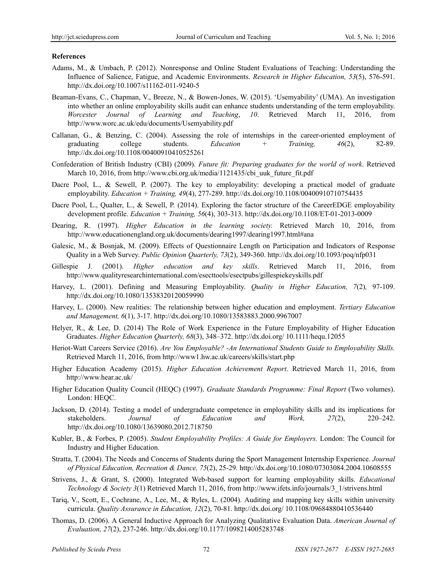#### **References**

- Adams, M., & Umbach, P. (2012). Nonresponse and Online Student Evaluations of Teaching: Understanding the Influence of Salience, Fatigue, and Academic Environments. *Research in Higher Education, 53*(5), 576-591. http://dx.doi.org/10.1007/s11162-011-9240-5
- Beaman-Evans, C., Chapman, V., Breeze, N., & Bowen-Jones, W. (2015). 'Usemyability' (UMA). An investigation into whether an online employability skills audit can enhance students understanding of the term employability. *Worcester Journal of Learning and Teaching*, *10*. Retrieved March 11, 2016, from http://www.worc.ac.uk/edu/documents/Usemyability.pdf
- Callanan, G., & Benzing, C. (2004). Assessing the role of internships in the career-oriented employment of graduating college students. *Education + Training, 46*(2), 82-89. http://dx.doi.org/10.1108/00400910410525261
- Confederation of British Industry (CBI) (2009). *Future fit: Preparing graduates for the world of work*. Retrieved March 10, 2016, from http://www.cbi.org.uk/media/1121435/cbi\_uuk\_future\_fit.pdf
- Dacre Pool, L., & Sewell, P. (2007). The key to employability: developing a practical model of graduate employability. *Education + Training, 49*(4), 277-289. http://dx.doi.org/10.1108/00400910710754435
- Dacre Pool, L., Qualter, L., & Sewell, P. (2014). Exploring the factor structure of the CareerEDGE employability development profile. *Education + Training, 56*(4), 303-313. http://dx.doi.org/10.1108/ET-01-2013-0009
- Dearing, R. (1997). *Higher Education in the learning society.* Retrieved March 10, 2016, from http://www.educationengland.org.uk/documents/dearing1997/dearing1997.html#ana
- Galesic, M., & Bosnjak, M. (2009). Effects of Questionnaire Length on Participation and Indicators of Response Quality in a Web Survey. *Public Opinion Quarterly, 73*(2), 349-360. http://dx.doi.org/10.1093/poq/nfp031
- Gillespie J. (2001). *Higher education and key skills*. Retrieved March 11, 2016, from http://www.qualityresearchinternational.com/esecttools/esectpubs/gillespiekeyskills.pdf
- Harvey, L. (2001). Defining and Measuring Employability. *Quality in Higher Education, 7*(2)*,* 97-109. http://dx.doi.org/10.1080/13538320120059990
- Harvey, L. (2000). New realities: The relationship between higher education and employment. *Tertiary Education and Management, 6*(1), 3-17. http://dx.doi.org/10.1080/13583883.2000.9967007
- Helyer, R., & Lee, D. (2014) The Role of Work Experience in the Future Employability of Higher Education Graduates. *Higher Education Quarterly, 68*(3), 348–372. http://dx.doi.org/ 10.1111/hequ.12055
- Heriot-Watt Careers Service (2016). *Are You Employable? -An International Students Guide to Employability Skills.*  Retrieved March 11, 2016, from http://www1.hw.ac.uk/careers/skills/start.php
- Higher Education Academy (2015). *Higher Education Achievement Report*. Retrieved March 11, 2016, from http://www.hear.ac.uk/
- Higher Education Quality Council (HEQC) (1997). *Graduate Standards Programme: Final Report* (Two volumes). London: HEQC.
- Jackson, D. (2014). Testing a model of undergraduate competence in employability skills and its implications for stakeholders. *Journal of Education and Work, 27*(2), 220–242. http://dx.doi.org/10.1080/13639080.2012.718750
- Kubler, B., & Forbes, P. (2005). *Student Employability Profiles: A Guide for Employers.* London: The Council for Industry and Higher Education.
- Stratta, T. (2004). The Needs and Concerns of Students during the Sport Management Internship Experience. *Journal of Physical Education, Recreation & Dance, 75*(2), 25-29*.* http://dx.doi.org/10.1080/07303084.2004.10608555
- Strivens, J., & Grant, S. (2000). Integrated Web-based support for learning employability skills. *Educational Technology & Society 3*(1) Retrieved March 11, 2016, from http://www.ifets.info/journals/3\_1/strivens.html
- Tariq, V., Scott, E., Cochrane, A., Lee, M., & Ryles, L. (2004). Auditing and mapping key skills within university curricula. *Quality Assurance in Education, 12*(2), 70-81. http://dx.doi.org/ 10.1108/09684880410536440
- Thomas, D. (2006). A General Inductive Approach for Analyzing Qualitative Evaluation Data. *American Journal of Evaluation, 27*(2), 237-246. http://dx.doi.org/10.1177/1098214005283748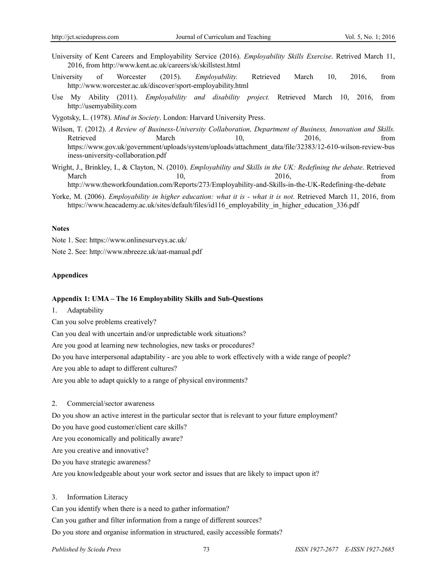- University of Kent Careers and Employability Service (2016). *Employability Skills Exercise*. Retrived March 11, 2016, from http://www.kent.ac.uk/careers/sk/skillstest.html
- University of Worcester (2015). *Employability.* Retrieved March 10, 2016, from http://www.worcester.ac.uk/discover/sport-employability.html
- Use My Ability (2011). *Employability and disability project.* Retrieved March 10, 2016, from http://usemyability.com

Vygotsky, L. (1978). *Mind in Society*. London: Harvard University Press.

- Wilson, T. (2012). *A Review of Business-University Collaboration, Department of Business, Innovation and Skills.*  Retrieved March 10, 2016, from https://www.gov.uk/government/uploads/system/uploads/attachment\_data/file/32383/12-610-wilson-review-bus iness-university-collaboration.pdf
- Wright, J., Brinkley, I., & Clayton, N. (2010). *Employability and Skills in the UK: Redefining the debate*. Retrieved March 10, 2016, from 10, 2016, the method of the method of the method of the method of the method of the method of the method of the method of the method of the method of the method of the method of the method of the metho http://www.theworkfoundation.com/Reports/273/Employability-and-Skills-in-the-UK-Redefining-the-debate
- Yorke, M. (2006). *Employability in higher education: what it is what it is not.* Retrieved March 11, 2016, from https://www.heacademy.ac.uk/sites/default/files/id116\_employability\_in\_higher\_education\_336.pdf

#### **Notes**

Note 1. See: https://www.onlinesurveys.ac.uk/

Note 2. See: http://www.nbreeze.uk/aat-manual.pdf

#### **Appendices**

#### **Appendix 1: UMA – The 16 Employability Skills and Sub-Questions**

1. Adaptability

Can you solve problems creatively?

Can you deal with uncertain and/or unpredictable work situations?

Are you good at learning new technologies, new tasks or procedures?

Do you have interpersonal adaptability - are you able to work effectively with a wide range of people?

Are you able to adapt to different cultures?

Are you able to adapt quickly to a range of physical environments?

2. Commercial/sector awareness

Do you show an active interest in the particular sector that is relevant to your future employment?

Do you have good customer/client care skills?

Are you economically and politically aware?

Are you creative and innovative?

Do you have strategic awareness?

Are you knowledgeable about your work sector and issues that are likely to impact upon it?

3. Information Literacy

Can you identify when there is a need to gather information?

Can you gather and filter information from a range of different sources?

Do you store and organise information in structured, easily accessible formats?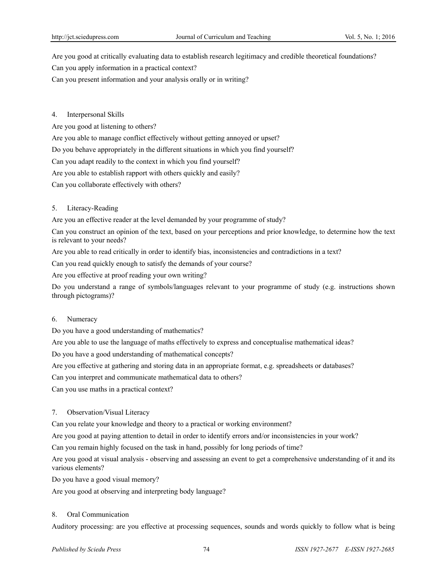Are you good at critically evaluating data to establish research legitimacy and credible theoretical foundations?

Can you apply information in a practical context?

Can you present information and your analysis orally or in writing?

## 4. Interpersonal Skills

Are you good at listening to others?

Are you able to manage conflict effectively without getting annoyed or upset?

Do you behave appropriately in the different situations in which you find yourself?

Can you adapt readily to the context in which you find yourself?

Are you able to establish rapport with others quickly and easily?

Can you collaborate effectively with others?

## 5. Literacy-Reading

Are you an effective reader at the level demanded by your programme of study?

Can you construct an opinion of the text, based on your perceptions and prior knowledge, to determine how the text is relevant to your needs?

Are you able to read critically in order to identify bias, inconsistencies and contradictions in a text?

Can you read quickly enough to satisfy the demands of your course?

Are you effective at proof reading your own writing?

Do you understand a range of symbols/languages relevant to your programme of study (e.g. instructions shown through pictograms)?

#### 6. Numeracy

Do you have a good understanding of mathematics?

Are you able to use the language of maths effectively to express and conceptualise mathematical ideas?

Do you have a good understanding of mathematical concepts?

Are you effective at gathering and storing data in an appropriate format, e.g. spreadsheets or databases?

Can you interpret and communicate mathematical data to others?

Can you use maths in a practical context?

# 7. Observation/Visual Literacy

Can you relate your knowledge and theory to a practical or working environment?

Are you good at paying attention to detail in order to identify errors and/or inconsistencies in your work?

Can you remain highly focused on the task in hand, possibly for long periods of time?

Are you good at visual analysis - observing and assessing an event to get a comprehensive understanding of it and its various elements?

Do you have a good visual memory?

Are you good at observing and interpreting body language?

#### 8. Oral Communication

Auditory processing: are you effective at processing sequences, sounds and words quickly to follow what is being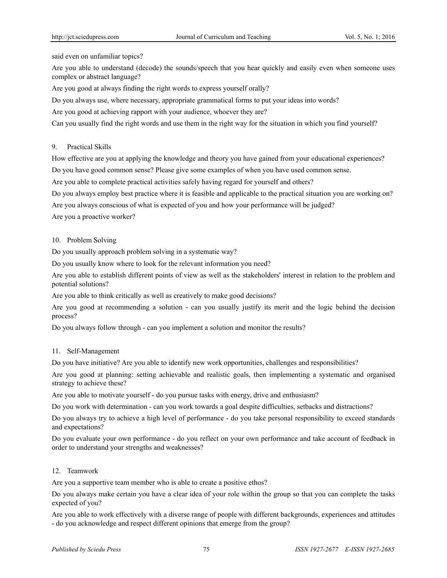said even on unfamiliar topics?

Are you able to understand (decode) the sounds/speech that you hear quickly and easily even when someone uses complex or abstract language?

Are you good at always finding the right words to express yourself orally?

Do you always use, where necessary, appropriate grammatical forms to put your ideas into words?

Are you good at achieving rapport with your audience, whoever they are?

Can you usually find the right words and use them in the right way for the situation in which you find yourself?

# 9. Practical Skills

How effective are you at applying the knowledge and theory you have gained from your educational experiences? Do you have good common sense? Please give some examples of when you have used common sense.

Are you able to complete practical activities safely having regard for yourself and others?

Do you always employ best practice where it is feasible and applicable to the practical situation you are working on?

Are you always conscious of what is expected of you and how your performance will be judged?

Are you a proactive worker?

## 10. Problem Solving

Do you usually approach problem solving in a systematic way?

Do you usually know where to look for the relevant information you need?

Are you able to establish different points of view as well as the stakeholders' interest in relation to the problem and potential solutions?

Are you able to think critically as well as creatively to make good decisions?

Are you good at recommending a solution - can you usually justify its merit and the logic behind the decision process?

Do you always follow through - can you implement a solution and monitor the results?

# 11. Self-Management

Do you have initiative? Are you able to identify new work opportunities, challenges and responsibilities?

Are you good at planning: setting achievable and realistic goals, then implementing a systematic and organised strategy to achieve these?

Are you able to motivate yourself - do you pursue tasks with energy, drive and enthusiasm?

Do you work with determination - can you work towards a goal despite difficulties, setbacks and distractions?

Do you always try to achieve a high level of performance - do you take personal responsibility to exceed standards and expectations?

Do you evaluate your own performance - do you reflect on your own performance and take account of feedback in order to understand your strengths and weaknesses?

# 12. Teamwork

Are you a supportive team member who is able to create a positive ethos?

Do you always make certain you have a clear idea of your role within the group so that you can complete the tasks expected of you?

Are you able to work effectively with a diverse range of people with different backgrounds, experiences and attitudes - do you acknowledge and respect different opinions that emerge from the group?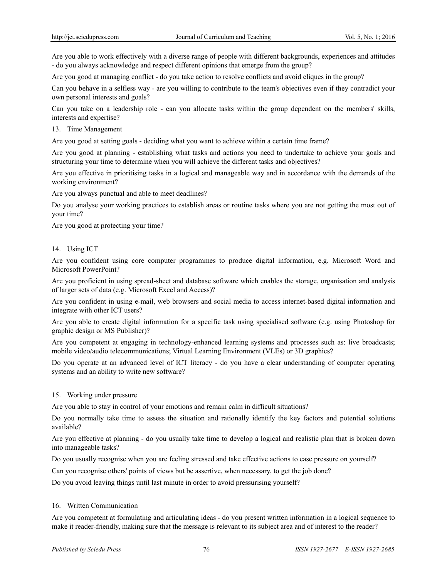Are you able to work effectively with a diverse range of people with different backgrounds, experiences and attitudes - do you always acknowledge and respect different opinions that emerge from the group?

Are you good at managing conflict - do you take action to resolve conflicts and avoid cliques in the group?

Can you behave in a selfless way - are you willing to contribute to the team's objectives even if they contradict your own personal interests and goals?

Can you take on a leadership role - can you allocate tasks within the group dependent on the members' skills, interests and expertise?

## 13. Time Management

Are you good at setting goals - deciding what you want to achieve within a certain time frame?

Are you good at planning - establishing what tasks and actions you need to undertake to achieve your goals and structuring your time to determine when you will achieve the different tasks and objectives?

Are you effective in prioritising tasks in a logical and manageable way and in accordance with the demands of the working environment?

Are you always punctual and able to meet deadlines?

Do you analyse your working practices to establish areas or routine tasks where you are not getting the most out of your time?

Are you good at protecting your time?

# 14. Using ICT

Are you confident using core computer programmes to produce digital information, e.g. Microsoft Word and Microsoft PowerPoint?

Are you proficient in using spread-sheet and database software which enables the storage, organisation and analysis of larger sets of data (e.g. Microsoft Excel and Access)?

Are you confident in using e-mail, web browsers and social media to access internet-based digital information and integrate with other ICT users?

Are you able to create digital information for a specific task using specialised software (e.g. using Photoshop for graphic design or MS Publisher)?

Are you competent at engaging in technology-enhanced learning systems and processes such as: live broadcasts; mobile video/audio telecommunications; Virtual Learning Environment (VLEs) or 3D graphics?

Do you operate at an advanced level of ICT literacy - do you have a clear understanding of computer operating systems and an ability to write new software?

#### 15. Working under pressure

Are you able to stay in control of your emotions and remain calm in difficult situations?

Do you normally take time to assess the situation and rationally identify the key factors and potential solutions available?

Are you effective at planning - do you usually take time to develop a logical and realistic plan that is broken down into manageable tasks?

Do you usually recognise when you are feeling stressed and take effective actions to ease pressure on yourself?

Can you recognise others' points of views but be assertive, when necessary, to get the job done?

Do you avoid leaving things until last minute in order to avoid pressurising yourself?

# 16. Written Communication

Are you competent at formulating and articulating ideas - do you present written information in a logical sequence to make it reader-friendly, making sure that the message is relevant to its subject area and of interest to the reader?